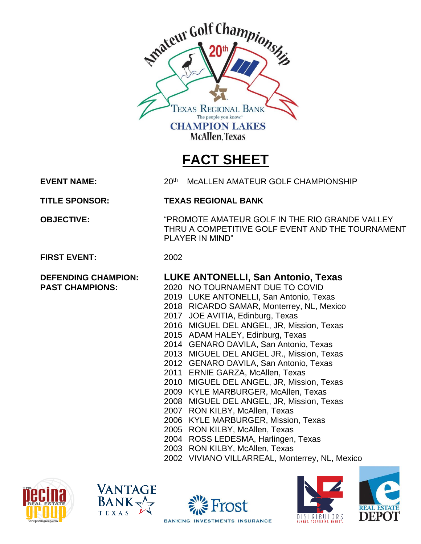

## **FACT SHEET**

**EVENT NAME:** 20th

McALLEN AMATEUR GOLF CHAMPIONSHIP

**TITLE SPONSOR: TEXAS REGIONAL BANK**

**OBJECTIVE:** "PROMOTE AMATEUR GOLF IN THE RIO GRANDE VALLEY THRU A COMPETITIVE GOLF EVENT AND THE TOURNAMENT PLAYER IN MIND"

**FIRST EVENT:** 2002

## **DEFENDING CHAMPION: LUKE ANTONELLI, San Antonio, Texas**

- **PAST CHAMPIONS:** 2020 NO TOURNAMENT DUE TO COVID
	- 2019 LUKE ANTONELLI, San Antonio, Texas
	- 2018 RICARDO SAMAR, Monterrey, NL, Mexico
	- 2017 JOE AVITIA, Edinburg, Texas
	- 2016 MIGUEL DEL ANGEL, JR, Mission, Texas
	- 2015 ADAM HALEY, Edinburg, Texas
	- 2014 GENARO DAVILA, San Antonio, Texas
	- 2013 MIGUEL DEL ANGEL JR., Mission, Texas
	- 2012 GENARO DAVILA, San Antonio, Texas
	- 2011 ERNIE GARZA, McAllen, Texas
	- 2010 MIGUEL DEL ANGEL, JR, Mission, Texas
	- 2009 KYLE MARBURGER, McAllen, Texas
	- 2008 MIGUEL DEL ANGEL, JR, Mission, Texas
	- 2007 RON KILBY, McAllen, Texas
	- 2006 KYLE MARBURGER, Mission, Texas
	- 2005 RON KILBY, McAllen, Texas
	- 2004 ROSS LEDESMA, Harlingen, Texas
	- 2003 RON KILBY, McAllen, Texas
	- 2002 VIVIANO VILLARREAL, Monterrey, NL, Mexico











**BANKING INVESTMENTS INSURANCE**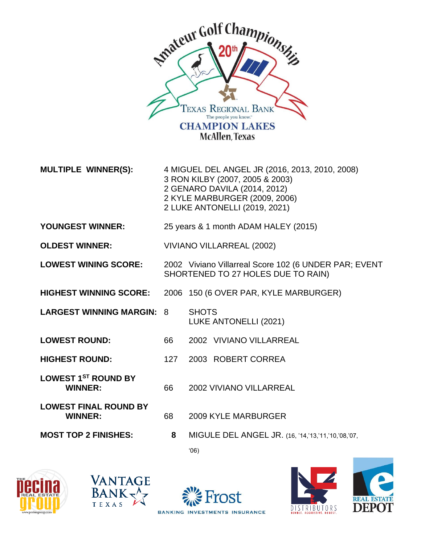

**MULTIPLE WINNER(S):** 4 MIGUEL DEL ANGEL JR (2016, 2013, 2010, 2008) 3 RON KILBY (2007, 2005 & 2003) 2 GENARO DAVILA (2014, 2012) 2 KYLE MARBURGER (2009, 2006) 2 LUKE ANTONELLI (2019, 2021)

- **YOUNGEST WINNER:** 25 years & 1 month ADAM HALEY (2015)
- **OLDEST WINNER:** VIVIANO VILLARREAL (2002)

**LOWEST WINING SCORE:** 2002 Viviano Villarreal Score 102 (6 UNDER PAR; EVENT SHORTENED TO 27 HOLES DUE TO RAIN)

- **HIGHEST WINNING SCORE:** 2006 150 (6 OVER PAR, KYLE MARBURGER)
- LARGEST WINNING MARGIN: 8 SHOTS LUKE ANTONELLI (2021)
- **LOWEST ROUND:** 66 2002 VIVIANO VILLARREAL
- **HIGHEST ROUND:** 127 2003 ROBERT CORREA

**LOWEST 1ST ROUND BY WINNER:** 66 2002 VIVIANO VILLARREAL

- **LOWEST FINAL ROUND BY**
- - **WINNER:** 68 2009 KYLE MARBURGER

**MOST TOP 2 FINISHES: 8** MIGULE DEL ANGEL JR. (16, '14,'13,'11,'10,'08,'07,

'06)







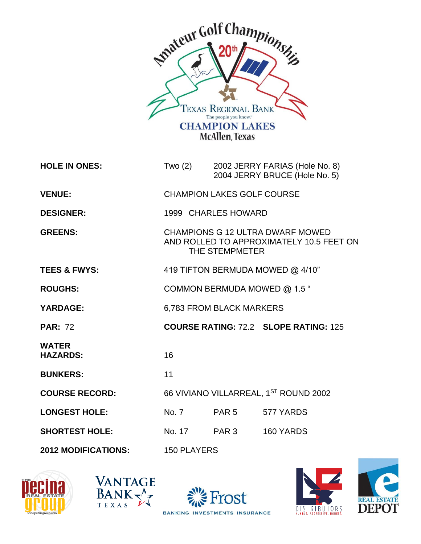

| <b>HOLE IN ONES:</b>            | Two $(2)$                                                                                      |       | 2002 JERRY FARIAS (Hole No. 8)<br>2004 JERRY BRUCE (Hole No. 5) |
|---------------------------------|------------------------------------------------------------------------------------------------|-------|-----------------------------------------------------------------|
| <b>VENUE:</b>                   | <b>CHAMPION LAKES GOLF COURSE</b>                                                              |       |                                                                 |
| <b>DESIGNER:</b>                | 1999 CHARLES HOWARD                                                                            |       |                                                                 |
| <b>GREENS:</b>                  | CHAMPIONS G 12 ULTRA DWARF MOWED<br>AND ROLLED TO APPROXIMATELY 10.5 FEET ON<br>THE STEMPMETER |       |                                                                 |
| <b>TEES &amp; FWYS:</b>         | 419 TIFTON BERMUDA MOWED @ 4/10"                                                               |       |                                                                 |
| <b>ROUGHS:</b>                  | COMMON BERMUDA MOWED @ 1.5 "                                                                   |       |                                                                 |
| <b>YARDAGE:</b>                 | 6,783 FROM BLACK MARKERS                                                                       |       |                                                                 |
| <b>PAR: 72</b>                  |                                                                                                |       | <b>COURSE RATING: 72.2 SLOPE RATING: 125</b>                    |
| <b>WATER</b><br><b>HAZARDS:</b> | 16                                                                                             |       |                                                                 |
| <b>BUNKERS:</b>                 | 11                                                                                             |       |                                                                 |
| <b>COURSE RECORD:</b>           | 66 VIVIANO VILLARREAL, 1ST ROUND 2002                                                          |       |                                                                 |
| <b>LONGEST HOLE:</b>            | No. 7                                                                                          | PAR 5 | 577 YARDS                                                       |
| <b>SHORTEST HOLE:</b>           | No. 17 PAR 3                                                                                   |       | 160 YARDS                                                       |
| <b>2012 MODIFICATIONS:</b>      | <b>150 PLAYERS</b>                                                                             |       |                                                                 |